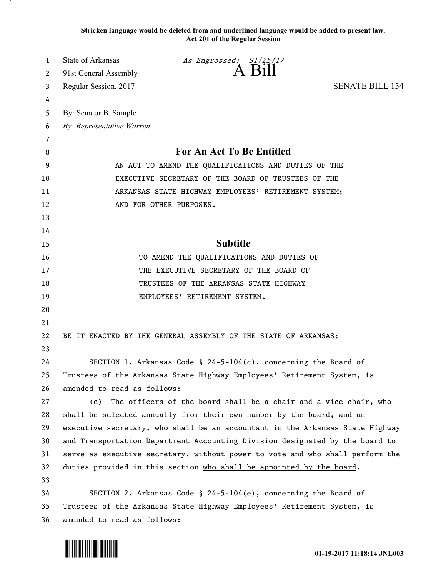**Stricken language would be deleted from and underlined language would be added to present law. Act 201 of the Regular Session**

| 1  | State of Arkansas                                                             | As Engrossed: S1/25/17                                                        |                        |
|----|-------------------------------------------------------------------------------|-------------------------------------------------------------------------------|------------------------|
| 2  | 91st General Assembly                                                         | A Bill                                                                        |                        |
| 3  | Regular Session, 2017                                                         |                                                                               | <b>SENATE BILL 154</b> |
| 4  |                                                                               |                                                                               |                        |
| 5  | By: Senator B. Sample                                                         |                                                                               |                        |
| 6  | By: Representative Warren                                                     |                                                                               |                        |
| 7  |                                                                               |                                                                               |                        |
| 8  | <b>For An Act To Be Entitled</b>                                              |                                                                               |                        |
| 9  | AN ACT TO AMEND THE QUALIFICATIONS AND DUTIES OF THE                          |                                                                               |                        |
| 10 | EXECUTIVE SECRETARY OF THE BOARD OF TRUSTEES OF THE                           |                                                                               |                        |
| 11 | ARKANSAS STATE HIGHWAY EMPLOYEES' RETIREMENT SYSTEM;                          |                                                                               |                        |
| 12 |                                                                               | AND FOR OTHER PURPOSES.                                                       |                        |
| 13 |                                                                               |                                                                               |                        |
| 14 |                                                                               |                                                                               |                        |
| 15 |                                                                               | <b>Subtitle</b>                                                               |                        |
| 16 |                                                                               | TO AMEND THE QUALIFICATIONS AND DUTIES OF                                     |                        |
| 17 | THE EXECUTIVE SECRETARY OF THE BOARD OF                                       |                                                                               |                        |
| 18 | TRUSTEES OF THE ARKANSAS STATE HIGHWAY                                        |                                                                               |                        |
| 19 |                                                                               | EMPLOYEES' RETIREMENT SYSTEM.                                                 |                        |
| 20 |                                                                               |                                                                               |                        |
| 21 |                                                                               |                                                                               |                        |
| 22 |                                                                               | BE IT ENACTED BY THE GENERAL ASSEMBLY OF THE STATE OF ARKANSAS:               |                        |
| 23 |                                                                               |                                                                               |                        |
| 24 |                                                                               | SECTION 1. Arkansas Code § 24-5-104(c), concerning the Board of               |                        |
| 25 |                                                                               | Trustees of the Arkansas State Highway Employees' Retirement System, is       |                        |
| 26 | amended to read as follows:                                                   |                                                                               |                        |
| 27 | (c)                                                                           | The officers of the board shall be a chair and a vice chair, who              |                        |
| 28 |                                                                               | shall be selected annually from their own number by the board, and an         |                        |
| 29 |                                                                               | executive secretary, who shall be an accountant in the Arkansas State Highway |                        |
| 30 | and Transportation Department Accounting Division designated by the board to  |                                                                               |                        |
| 31 | serve as executive secretary, without power to vote and who shall perform the |                                                                               |                        |
| 32 |                                                                               | duties provided in this section who shall be appointed by the board.          |                        |
| 33 |                                                                               |                                                                               |                        |
| 34 |                                                                               | SECTION 2. Arkansas Code § 24-5-104(e), concerning the Board of               |                        |
| 35 | Trustees of the Arkansas State Highway Employees' Retirement System, is       |                                                                               |                        |
| 36 | amended to read as follows:                                                   |                                                                               |                        |